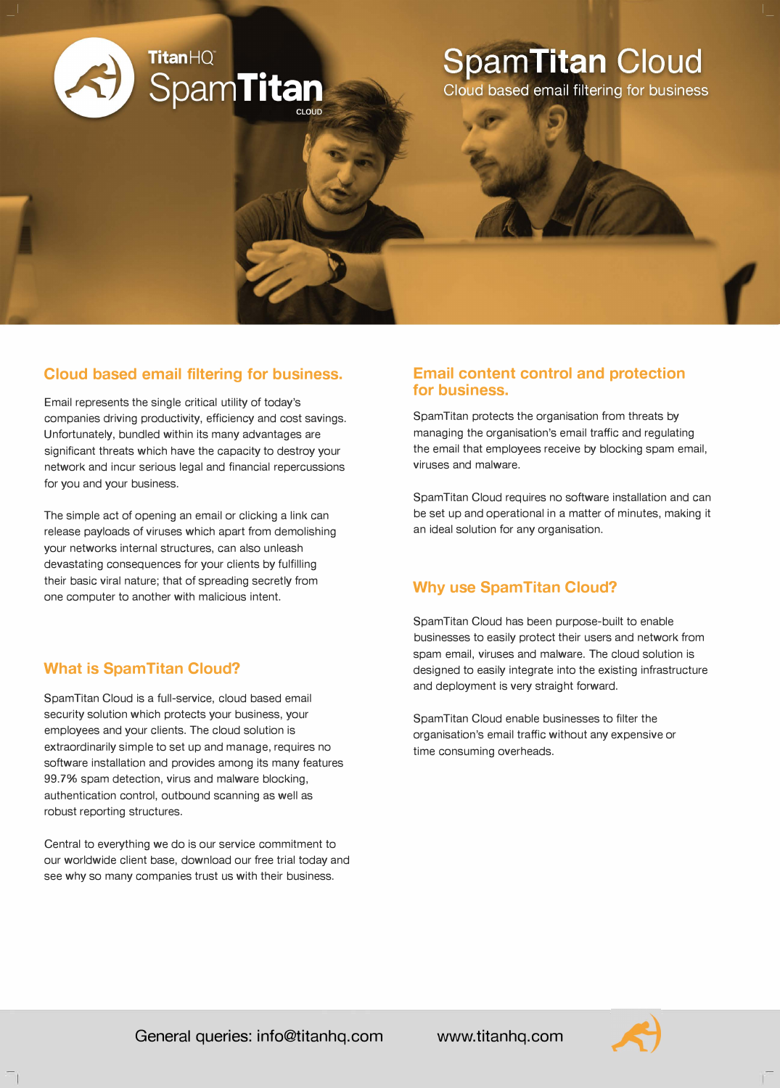

### **Cloud based email filtering for business.**

Email represents the single critical utility of today's companies driving productivity, efficiency and cost savings. Unfortunately, bundled within its many advantages are significant threats which have the capacity to destroy your network and incur serious legal and financial repercussions for you and your business.

The simple act of opening an email or clicking a link can release payloads of viruses which apart from demolishing your networks internal structures, can also unleash devastating consequences for your clients by fulfilling their basic viral nature; that of spreading secretly from one computer to another with malicious intent.

# **What is SpamTitan Cloud?**

SpamTitan Cloud is a full-service, cloud based email security solution which protects your business, your employees and your clients. The cloud solution is extraordinarily simple to set up and manage, requires no software installation and provides among its many features 99.7% spam detection, virus and malware blocking, authentication control, outbound scanning as well as robust reporting structures.

Central to everything we do is our service commitment to our worldwide client base, download our free trial today and see why so many companies trust us with their business.

### **Email content control and protection for business.**

SpamTitan protects the organisation from threats by managing the organisation's email traffic and regulating the email that employees receive by blocking spam email, viruses and malware.

SpamTitan Cloud requires no software installation and can be set up and operational in a matter of minutes, making it an ideal solution for any organisation.

# **Why use SpamTitan Cloud?**

SpamTitan Cloud has been purpose-built to enable businesses to easily protect their users and network from spam email, viruses and malware. The cloud solution is designed to easily integrate into the existing infrastructure and deployment is very straight forward.

SpamTitan Cloud enable businesses to filter the organisation's email traffic without any expensive or time consuming overheads.



**General queries: info@titanhq.com**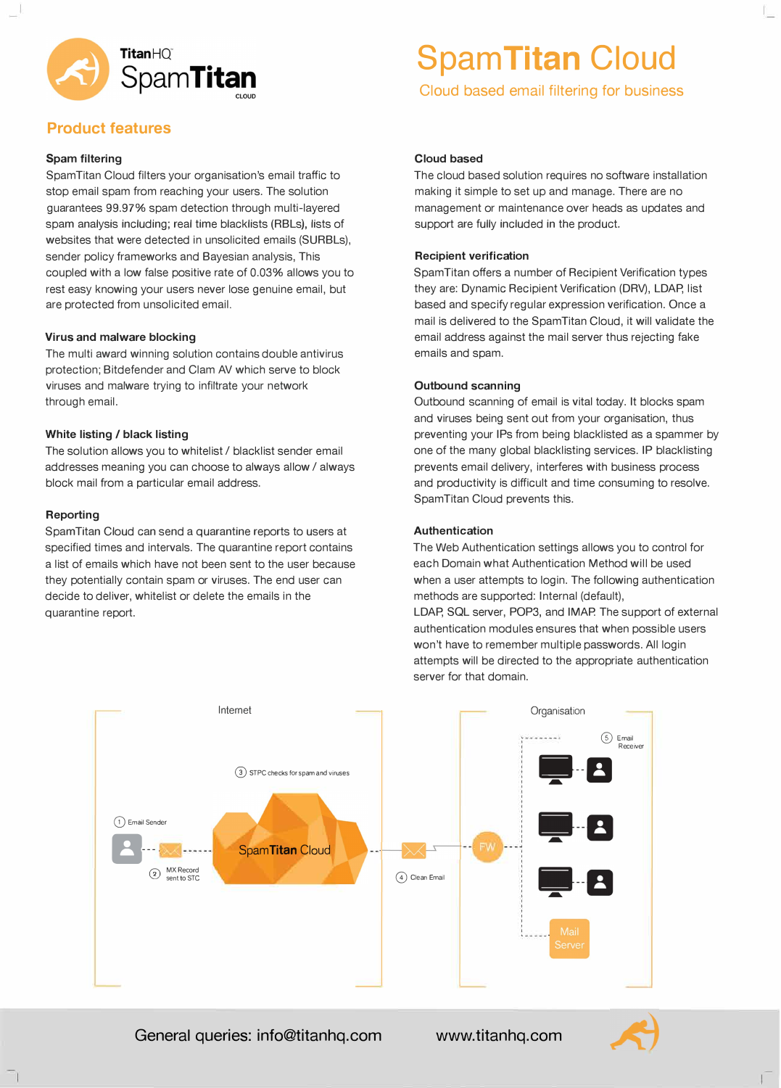

# **Product features**

#### **Spam filtering**

Spam Titan Cloud filters your organisation's email traffic to stop email spam from reaching your users. The solution guarantees 99.97% spam detection through multi-layered spam analysis including; real time blacklists (RBLs), lists of websites that were detected in unsolicited emails (SURBLs), sender policy frameworks and Bayesian analysis, This coupled with a low false positive rate of 0.03% allows you to rest easy knowing your users never lose genuine email, but are protected from unsolicited email.

#### **Virus and malware blocking**

The multi award winning solution contains double antivirus protection; Bitdefender and Clam AV which serve to block viruses and malware trying to infiltrate your network through email.

#### **White listing / black listing**

The solution allows you to whitelist / blacklist sender email addresses meaning you can choose to always allow/ always block mail from a particular email address.

#### **Reporting**

Spam Titan Cloud can send a quarantine reports to users at specified times and intervals. The quarantine report contains a list of emails which have not been sent to the user because they potentially contain spam or viruses. The end user can decide to deliver, whitelist or delete the emails in the quarantine report.

# **SpamTitan Cloud**

**Cloud based email filtering for business** 

#### **Cloud based**

The cloud based solution requires no software installation making it simple to set up and manage. There are no management or maintenance over heads as updates and support are fully included in the product.

#### **Recipient verification**

SpamTitan offers a number of Recipient Verification types they are: Dynamic Recipient Verification (DRV), LDAP, list based and specify regular expression verification. Once a mail is delivered to the SpamTitan Cloud, it will validate the email address against the mail server thus rejecting fake emails and spam.

#### **Outbound scanning**

Outbound scanning of email is vital today. It blocks spam and viruses being sent out from your organisation, thus preventing your IPs from being blacklisted as a spammer by one of the many global blacklisting services. IP blacklisting prevents email delivery, interferes with business process and productivity is difficult and time consuming to resolve. SpamTitan Cloud prevents this.

#### **Authentication**

The Web Authentication settings allows you to control for each Domain what Authentication Method will be used when a user attempts to login. The following authentication methods are supported: Internal (default),

LDAP, SQL server, POP3, and IMAP. The support of external authentication modules ensures that when possible users won't have to remember multiple passwords. All login attempts will be directed to the appropriate authentication server for that domain.



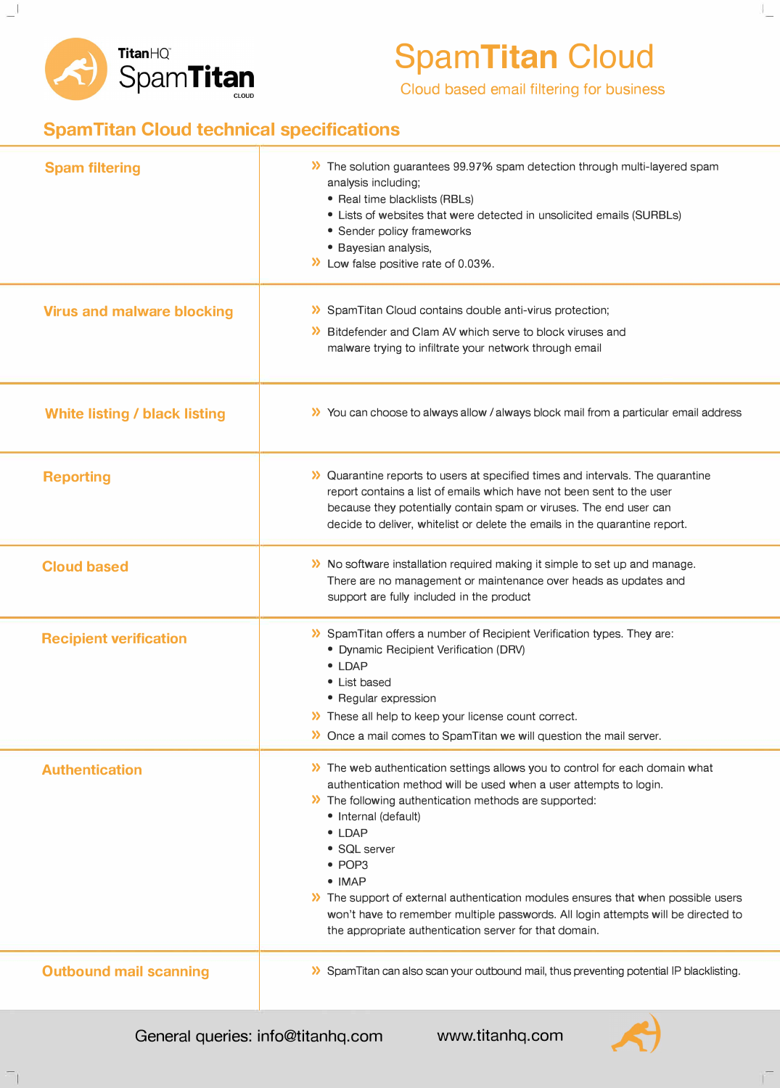

# **SpamTitan Cloud**

**Cloud based email filtering for business** 

# **SpamTitan Cloud technical specifications**

| <b>Spam filtering</b>                | >> The solution guarantees 99.97% spam detection through multi-layered spam<br>analysis including;<br>• Real time blacklists (RBLs)<br>• Lists of websites that were detected in unsolicited emails (SURBLs)<br>• Sender policy frameworks<br>· Bayesian analysis,<br>>> Low false positive rate of 0.03%.                                                                                                                                                                                                                           |
|--------------------------------------|--------------------------------------------------------------------------------------------------------------------------------------------------------------------------------------------------------------------------------------------------------------------------------------------------------------------------------------------------------------------------------------------------------------------------------------------------------------------------------------------------------------------------------------|
| <b>Virus and malware blocking</b>    | >> SpamTitan Cloud contains double anti-virus protection;<br>>> Bitdefender and Clam AV which serve to block viruses and<br>malware trying to infiltrate your network through email                                                                                                                                                                                                                                                                                                                                                  |
| <b>White listing / black listing</b> | >> You can choose to always allow / always block mail from a particular email address                                                                                                                                                                                                                                                                                                                                                                                                                                                |
| <b>Reporting</b>                     | >> Quarantine reports to users at specified times and intervals. The quarantine<br>report contains a list of emails which have not been sent to the user<br>because they potentially contain spam or viruses. The end user can<br>decide to deliver, whitelist or delete the emails in the quarantine report.                                                                                                                                                                                                                        |
| <b>Cloud based</b>                   | >> No software installation required making it simple to set up and manage.<br>There are no management or maintenance over heads as updates and<br>support are fully included in the product                                                                                                                                                                                                                                                                                                                                         |
| <b>Recipient verification</b>        | >> SpamTitan offers a number of Recipient Verification types. They are:<br>• Dynamic Recipient Verification (DRV)<br>$\bullet$ LDAP<br>• List based<br>• Regular expression<br>>> These all help to keep your license count correct.<br>>> Once a mail comes to SpamTitan we will question the mail server.                                                                                                                                                                                                                          |
| <b>Authentication</b>                | >> The web authentication settings allows you to control for each domain what<br>authentication method will be used when a user attempts to login.<br>>> The following authentication methods are supported:<br>• Internal (default)<br>$\bullet$ LDAP<br>• SQL server<br>• POP3<br>$\bullet$ IMAP<br>The support of external authentication modules ensures that when possible users<br>won't have to remember multiple passwords. All login attempts will be directed to<br>the appropriate authentication server for that domain. |
| <b>Outbound mail scanning</b>        | >> SpamTitan can also scan your outbound mail, thus preventing potential IP blacklisting.                                                                                                                                                                                                                                                                                                                                                                                                                                            |

**General queries: info@titanhq.com www.titanhq.com**